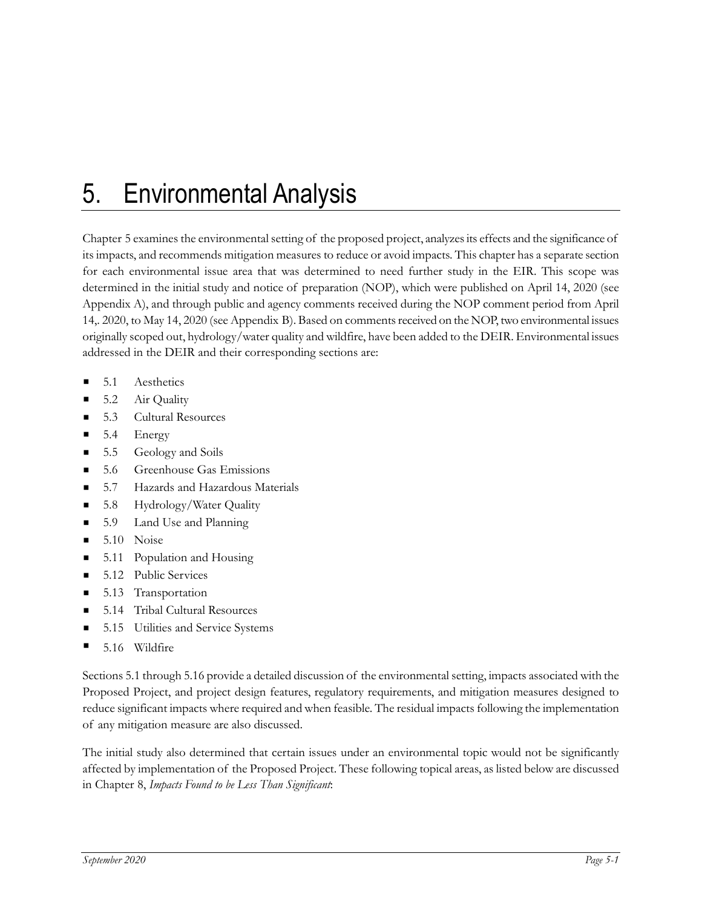## 5. Environmental Analysis

Chapter 5 examines the environmental setting of the proposed project, analyzes its effects and the significance of its impacts, and recommends mitigation measures to reduce or avoid impacts. This chapter has a separate section for each environmental issue area that was determined to need further study in the EIR. This scope was determined in the initial study and notice of preparation (NOP), which were published on April 14, 2020 (see Appendix A), and through public and agency comments received during the NOP comment period from April 14,. 2020, to May 14, 2020 (see Appendix B). Based on comments received on the NOP, two environmental issues originally scoped out, hydrology/water quality and wildfire, have been added to the DEIR. Environmental issues addressed in the DEIR and their corresponding sections are:

- 5.1 Aesthetics
- 5.2 Air Quality
- 5.3 Cultural Resources
- 5.4 Energy
- 5.5 Geology and Soils
- 5.6 Greenhouse Gas Emissions
- 5.7 Hazards and Hazardous Materials
- 5.8 Hydrology/Water Quality
- 5.9 Land Use and Planning
- $\blacksquare$  5.10 Noise
- 5.11 Population and Housing
- 5.12 Public Services
- 5.13 Transportation
- 5.14 Tribal Cultural Resources
- 5.15 Utilities and Service Systems
- 5.16 Wildfire

Sections 5.1 through 5.16 provide a detailed discussion of the environmental setting, impacts associated with the Proposed Project, and project design features, regulatory requirements, and mitigation measures designed to reduce significant impacts where required and when feasible. The residual impacts following the implementation of any mitigation measure are also discussed.

The initial study also determined that certain issues under an environmental topic would not be significantly affected by implementation of the Proposed Project. These following topical areas, as listed below are discussed in Chapter 8, *Impacts Found to be Less Than Significant*: